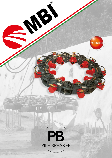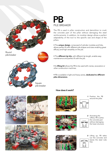

Round pile breaker



# PILE BREAKER PB

The PB is used in pillar construction and demolition to crush the concrete part of the pillar without damaging the steel reinforcements. In addition, its modular design allows a perfect adaptability of the tool to the specific size and shape of the pillars.

• The unique design, composed of cylinder modules and links, allows perfect fit with different pile shapes and sizes enabling great efficacy and high versatility on the job.

• The different tip kits, with different tip length, enable easy maintenance and perfect fit with the job.

**• Its lifting kit** allows the PB to be used with cranes, excavators or other construction machines.

• PB is available in light and heavy series, dedicated to different piles dimensions.

### How does it work?







1 Position the PB around the pillar.





2 Activating the oilflow, PB crushes the concrete part without damaging the lower structure.



Lifting up, PB takes *3*out the concrete and leaves the steel rods free.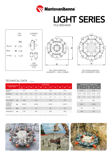

## PILE BREAKER LIGHT SERIES





PB CONFIGURATION ELEMENTS + LINK CORNER



#### PB CONFIGURATION WITH ELEMENTS ONLY

### TECHNICAL DATA BT.PBL.06

| <b>SIDE/DIAMETER PILE</b><br>$(mm) \pm 10$ mm         |                  | <b>ROUND PILES</b> |              |                |           |              |     |         |              |           |     |              |  |  |  |  |
|-------------------------------------------------------|------------------|--------------------|--------------|----------------|-----------|--------------|-----|---------|--------------|-----------|-----|--------------|--|--|--|--|
|                                                       |                  | $\mathbf 0$<br>400 | 450          |                | 550       | 600          | 650 | 700     | 750          | 800       | 850 | 900          |  |  |  |  |
| <b>EXCAVATOR</b><br><b>WEIGHT</b>                     | t                | $10 - 15$          |              |                | $10 - 15$ |              |     | 15-20   |              | $15 - 20$ |     |              |  |  |  |  |
| <b>ELEMENTS</b>                                       | n <b>r</b>       | 6L<br>6L           |              | 7 <sub>1</sub> | 7L        | 7L           | 8 L | 8L      | 8L           | 9L        | 9L  | 9L           |  |  |  |  |
| TIP TYPE                                              | M                |                    | $\mathsf{C}$ | L              | M         | $\mathsf{C}$ | L   | M       | $\mathsf{C}$ | L         | M   | $\mathsf{C}$ |  |  |  |  |
| <b>TOOL WEIGHT</b>                                    | kg               |                    | 1000         |                | 1160      |              |     | 1330    |              | 1490      |     |              |  |  |  |  |
| <b>HYDRAULIC</b><br><b>WORKING</b><br><b>PRESSURE</b> | bar              | 320-350            |              | 320-350        |           |              |     | 320-350 |              | 320-350   |     |              |  |  |  |  |
| OIL FLOW                                              | V <sub>min</sub> |                    | 150          | 175            |           |              |     | 200     |              | 225       |     |              |  |  |  |  |
| <b>DIMENSION H</b>                                    | mm               |                    | 1700         |                | 1900      |              |     | 2050    |              | 2200      |     |              |  |  |  |  |

We are constantly improving our products and therefore we reserve the right to change the design and technical specifications without prior notice.